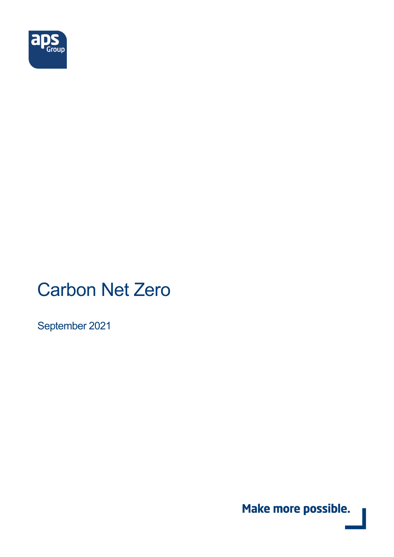

# Carbon Net Zero

September 2021

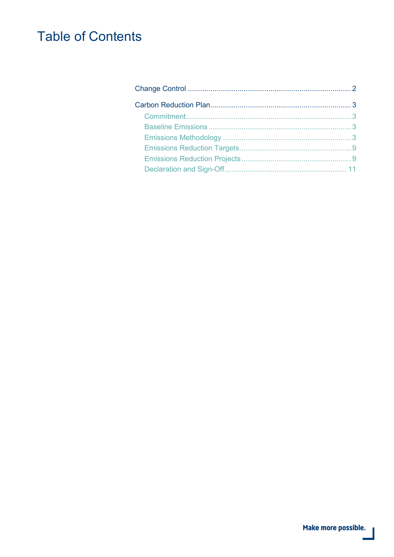## **Table of Contents**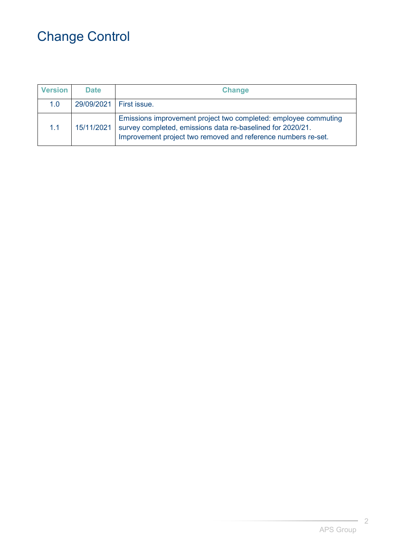# <span id="page-2-0"></span>Change Control

| <b>Version</b> | <b>Date</b>               | <b>Change</b>                                                                                                                                                                                  |
|----------------|---------------------------|------------------------------------------------------------------------------------------------------------------------------------------------------------------------------------------------|
| 1.0            | 29/09/2021   First issue. |                                                                                                                                                                                                |
| 1.1            | 15/11/2021                | Emissions improvement project two completed: employee commuting<br>survey completed, emissions data re-baselined for 2020/21.<br>Improvement project two removed and reference numbers re-set. |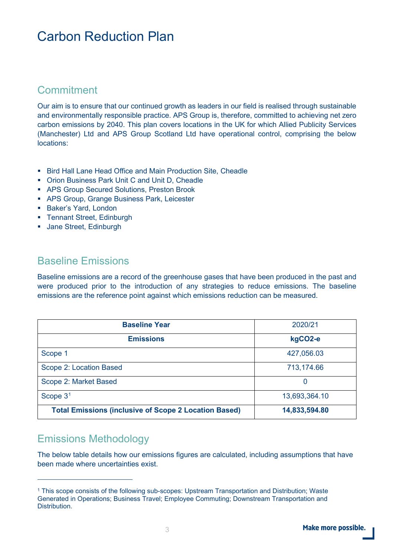### <span id="page-3-0"></span>Carbon Reduction Plan

#### <span id="page-3-1"></span>**Commitment**

Our aim is to ensure that our continued growth as leaders in our field is realised through sustainable and environmentally responsible practice. APS Group is, therefore, committed to achieving net zero carbon emissions by 2040. This plan covers locations in the UK for which Allied Publicity Services (Manchester) Ltd and APS Group Scotland Ltd have operational control, comprising the below locations:

- Bird Hall Lane Head Office and Main Production Site, Cheadle
- **Orion Business Park Unit C and Unit D, Cheadle**
- APS Group Secured Solutions, Preston Brook
- **APS Group, Grange Business Park, Leicester**
- **Baker's Yard, London**
- **Tennant Street, Edinburgh**
- **Jane Street, Edinburgh**

#### <span id="page-3-2"></span>Baseline Emissions

Baseline emissions are a record of the greenhouse gases that have been produced in the past and were produced prior to the introduction of any strategies to reduce emissions. The baseline emissions are the reference point against which emissions reduction can be measured.

| <b>Baseline Year</b>                                         | 2020/21       |
|--------------------------------------------------------------|---------------|
| <b>Emissions</b>                                             | kgCO2-e       |
| Scope 1                                                      | 427,056.03    |
| Scope 2: Location Based                                      | 713,174.66    |
| Scope 2: Market Based                                        | 0             |
| Scope $31$                                                   | 13,693,364.10 |
| <b>Total Emissions (inclusive of Scope 2 Location Based)</b> | 14,833,594.80 |

#### <span id="page-3-3"></span>Emissions Methodology

The below table details how our emissions figures are calculated, including assumptions that have been made where uncertainties exist.

<span id="page-3-4"></span><sup>1</sup> This scope consists of the following sub-scopes: Upstream Transportation and Distribution; Waste Generated in Operations; Business Travel; Employee Commuting; Downstream Transportation and Distribution.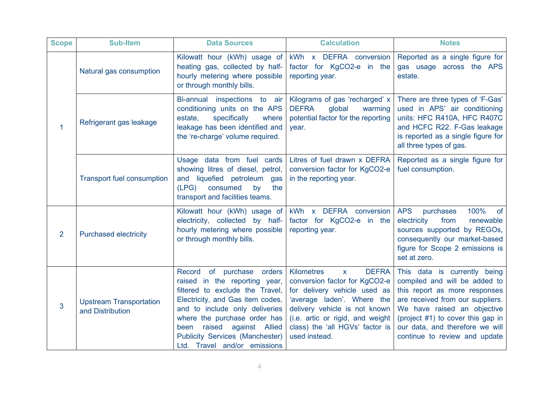| <b>Scope</b>   | <b>Sub-Item</b>                                    | <b>Data Sources</b>                                                                                                                                                                                                                                                                                                            | <b>Calculation</b>                                                                                                                                                                                                                                                        | <b>Notes</b>                                                                                                                                                                                                                                                                  |
|----------------|----------------------------------------------------|--------------------------------------------------------------------------------------------------------------------------------------------------------------------------------------------------------------------------------------------------------------------------------------------------------------------------------|---------------------------------------------------------------------------------------------------------------------------------------------------------------------------------------------------------------------------------------------------------------------------|-------------------------------------------------------------------------------------------------------------------------------------------------------------------------------------------------------------------------------------------------------------------------------|
| $\mathbf 1$    | Natural gas consumption                            | Kilowatt hour (kWh) usage of<br>heating gas, collected by half-<br>hourly metering where possible<br>or through monthly bills.                                                                                                                                                                                                 | kWh x DEFRA conversion<br>factor for KgCO2-e in the<br>reporting year.                                                                                                                                                                                                    | Reported as a single figure for<br>gas usage across the APS<br>estate.                                                                                                                                                                                                        |
|                | Refrigerant gas leakage                            | Bi-annual inspections to air<br>conditioning units on the APS<br>estate,<br>specifically<br>where<br>leakage has been identified and<br>the 're-charge' volume required.                                                                                                                                                       | Kilograms of gas 'recharged' x<br><b>DEFRA</b><br>global<br>warming<br>potential factor for the reporting<br>year.                                                                                                                                                        | There are three types of 'F-Gas'<br>used in APS' air conditioning<br>units: HFC R410A, HFC R407C<br>and HCFC R22. F-Gas leakage<br>is reported as a single figure for<br>all three types of gas.                                                                              |
|                | <b>Transport fuel consumption</b>                  | Usage data from fuel cards<br>showing litres of diesel, petrol,<br>and liquefied petroleum gas<br>(LPG)<br>consumed<br>the<br>by<br>transport and facilities teams.                                                                                                                                                            | Litres of fuel drawn x DEFRA<br>conversion factor for KgCO2-e<br>in the reporting year.                                                                                                                                                                                   | Reported as a single figure for<br>fuel consumption.                                                                                                                                                                                                                          |
| $\overline{2}$ | <b>Purchased electricity</b>                       | Kilowatt hour (kWh) usage of<br>electricity, collected by half-<br>hourly metering where possible<br>or through monthly bills.                                                                                                                                                                                                 | kWh x DEFRA conversion<br>factor for KgCO2-e in the<br>reporting year.                                                                                                                                                                                                    | 100%<br><b>APS</b><br>purchases<br><b>of</b><br>from<br>electricity<br>renewable<br>sources supported by REGOs,<br>consequently our market-based<br>figure for Scope 2 emissions is<br>set at zero.                                                                           |
| 3              | <b>Upstream Transportation</b><br>and Distribution | of purchase<br><b>Record</b><br>orders<br>raised in the reporting year,<br>filtered to exclude the Travel,<br>Electricity, and Gas item codes,<br>and to include only deliveries<br>where the purchase order has<br>raised<br>against Allied<br>been<br><b>Publicity Services (Manchester)</b><br>Ltd. Travel and/or emissions | <b>Kilometres</b><br><b>DEFRA</b><br>$\mathbf{x}$<br>conversion factor for KgCO2-e<br>for delivery vehicle used as<br>'average laden'. Where the<br>delivery vehicle is not known<br>(i.e. artic or rigid, and weight<br>class) the 'all HGVs' factor is<br>used instead. | This data is currently being<br>compiled and will be added to<br>this report as more responses<br>are received from our suppliers.<br>We have raised an objective<br>(project $#1$ ) to cover this gap in<br>our data, and therefore we will<br>continue to review and update |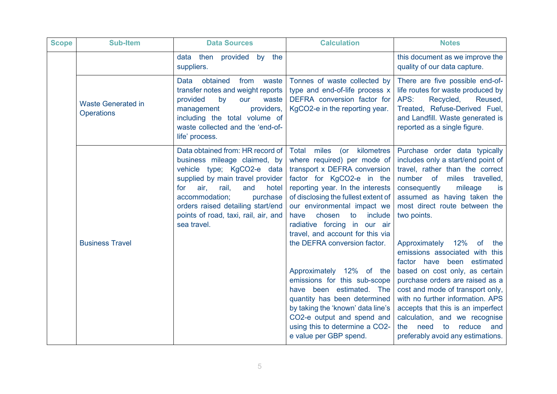| <b>Scope</b> | <b>Sub-Item</b>                                | <b>Data Sources</b>                                                                                                                                                                                                                                                                                  | <b>Calculation</b>                                                                                                                                                                                                                                                                                                                         | <b>Notes</b>                                                                                                                                                                                                                                                                                                                                                                              |
|--------------|------------------------------------------------|------------------------------------------------------------------------------------------------------------------------------------------------------------------------------------------------------------------------------------------------------------------------------------------------------|--------------------------------------------------------------------------------------------------------------------------------------------------------------------------------------------------------------------------------------------------------------------------------------------------------------------------------------------|-------------------------------------------------------------------------------------------------------------------------------------------------------------------------------------------------------------------------------------------------------------------------------------------------------------------------------------------------------------------------------------------|
|              |                                                | data then provided by the<br>suppliers.                                                                                                                                                                                                                                                              |                                                                                                                                                                                                                                                                                                                                            | this document as we improve the<br>quality of our data capture.                                                                                                                                                                                                                                                                                                                           |
|              | <b>Waste Generated in</b><br><b>Operations</b> | obtained<br>Data<br>waste<br>from<br>transfer notes and weight reports<br>provided<br>by<br>waste<br>our<br>providers,<br>management<br>including the total volume of<br>waste collected and the 'end-of-<br>life' process.                                                                          | Tonnes of waste collected by<br>type and end-of-life process x<br>DEFRA conversion factor for<br>KgCO2-e in the reporting year.                                                                                                                                                                                                            | There are five possible end-of-<br>life routes for waste produced by<br>APS:<br>Recycled,<br>Reused,<br>Treated, Refuse-Derived Fuel,<br>and Landfill. Waste generated is<br>reported as a single figure.                                                                                                                                                                                 |
|              |                                                | Data obtained from: HR record of<br>business mileage claimed, by<br>vehicle type; KgCO2-e data<br>supplied by main travel provider<br>air,<br>rail,<br>for<br>and<br>hotel<br>accommodation;<br>purchase<br>orders raised detailing start/end<br>points of road, taxi, rail, air, and<br>sea travel. | Total miles<br>(or kilometres<br>where required) per mode of<br>transport x DEFRA conversion<br>factor for KgCO2-e in the<br>reporting year. In the interests<br>of disclosing the fullest extent of<br>our environmental impact we<br>include<br>chosen<br>to<br>have<br>radiative forcing in our air<br>travel, and account for this via | Purchase order data typically<br>includes only a start/end point of<br>travel, rather than the correct<br>number of<br>miles<br>travelled,<br>consequently<br>mileage<br>is<br>assumed as having taken the<br>most direct route between the<br>two points.                                                                                                                                |
|              | <b>Business Travel</b>                         |                                                                                                                                                                                                                                                                                                      | the DEFRA conversion factor.<br>Approximately 12% of the<br>emissions for this sub-scope<br>have been estimated. The<br>quantity has been determined<br>by taking the 'known' data line's<br>CO2-e output and spend and<br>using this to determine a CO2-<br>e value per GBP spend.                                                        | Approximately<br>12%<br>of<br>the<br>emissions associated with this<br>factor have been estimated<br>based on cost only, as certain<br>purchase orders are raised as a<br>cost and mode of transport only,<br>with no further information. APS<br>accepts that this is an imperfect<br>calculation, and we recognise<br>reduce and<br>the need<br>to<br>preferably avoid any estimations. |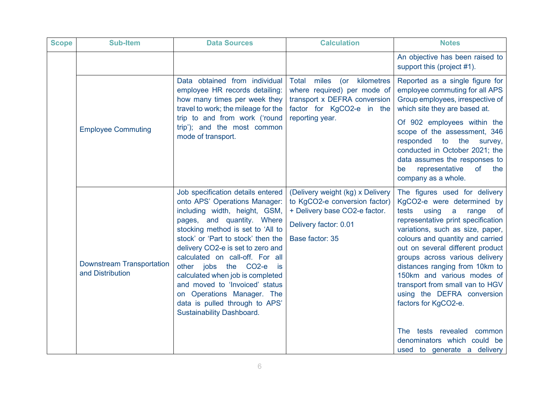| <b>Scope</b> | <b>Sub-Item</b>                                      | <b>Data Sources</b>                                                                                                                                                                                                                                                                                                                                                                                                                                                                   | <b>Calculation</b>                                                                                                                                    | <b>Notes</b>                                                                                                                                                                                                                                                                                                                                                                                                                                                                                                                                                   |
|--------------|------------------------------------------------------|---------------------------------------------------------------------------------------------------------------------------------------------------------------------------------------------------------------------------------------------------------------------------------------------------------------------------------------------------------------------------------------------------------------------------------------------------------------------------------------|-------------------------------------------------------------------------------------------------------------------------------------------------------|----------------------------------------------------------------------------------------------------------------------------------------------------------------------------------------------------------------------------------------------------------------------------------------------------------------------------------------------------------------------------------------------------------------------------------------------------------------------------------------------------------------------------------------------------------------|
|              |                                                      |                                                                                                                                                                                                                                                                                                                                                                                                                                                                                       |                                                                                                                                                       | An objective has been raised to<br>support this (project #1).                                                                                                                                                                                                                                                                                                                                                                                                                                                                                                  |
|              | <b>Employee Commuting</b>                            | Data obtained from individual<br>employee HR records detailing:<br>how many times per week they<br>travel to work; the mileage for the<br>trip to and from work ('round<br>trip'); and the most common<br>mode of transport.                                                                                                                                                                                                                                                          | miles<br>kilometres<br>Total<br>$($ or<br>where required) per mode of<br>transport x DEFRA conversion<br>factor for KgCO2-e in the<br>reporting year. | Reported as a single figure for<br>employee commuting for all APS<br>Group employees, irrespective of<br>which site they are based at.<br>Of 902 employees within the<br>scope of the assessment, 346<br>responded<br>the<br>to<br>survey,<br>conducted in October 2021; the<br>data assumes the responses to<br>representative<br>of<br>the<br>be<br>company as a whole.                                                                                                                                                                                      |
|              | <b>Downstream Transportation</b><br>and Distribution | Job specification details entered<br>onto APS' Operations Manager:<br>including width, height, GSM,<br>pages, and quantity. Where<br>stocking method is set to 'All to<br>stock' or 'Part to stock' then the<br>delivery CO2-e is set to zero and<br>calculated on call-off. For all<br>other jobs the CO2-e<br>is<br>calculated when job is completed<br>and moved to 'Invoiced' status<br>on Operations Manager. The<br>data is pulled through to APS'<br>Sustainability Dashboard. | (Delivery weight (kg) x Delivery<br>to KgCO2-e conversion factor)<br>+ Delivery base CO2-e factor.<br>Delivery factor: 0.01<br>Base factor: 35        | The figures used for delivery<br>KgCO2-e were determined by<br>tests<br>using<br>$\mathsf{a}$<br>range<br><b>of</b><br>representative print specification<br>variations, such as size, paper,<br>colours and quantity and carried<br>out on several different product<br>groups across various delivery<br>distances ranging from 10km to<br>150km and various modes of<br>transport from small van to HGV<br>using the DEFRA conversion<br>factors for KgCO2-e.<br>The tests revealed<br>common<br>denominators which could be<br>used to generate a delivery |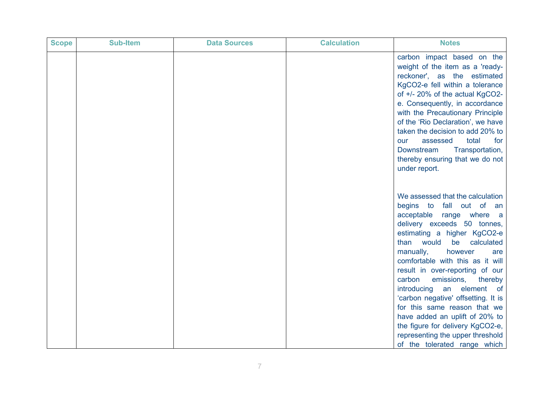| <b>Scope</b> | <b>Sub-Item</b> | <b>Data Sources</b> | <b>Calculation</b> | <b>Notes</b>                                                                                                                                                                                                                                                                                                                                                                                                                                                                                                                                                                                        |
|--------------|-----------------|---------------------|--------------------|-----------------------------------------------------------------------------------------------------------------------------------------------------------------------------------------------------------------------------------------------------------------------------------------------------------------------------------------------------------------------------------------------------------------------------------------------------------------------------------------------------------------------------------------------------------------------------------------------------|
|              |                 |                     |                    | carbon impact based on the<br>weight of the item as a 'ready-<br>reckoner', as the estimated<br>KgCO2-e fell within a tolerance<br>of +/- 20% of the actual KgCO2-<br>e. Consequently, in accordance<br>with the Precautionary Principle<br>of the 'Rio Declaration', we have<br>taken the decision to add 20% to<br>total<br>assessed<br>for<br>our<br>Transportation,<br><b>Downstream</b><br>thereby ensuring that we do not<br>under report.                                                                                                                                                    |
|              |                 |                     |                    | We assessed that the calculation<br>begins to fall out of<br>an<br>acceptable range where a<br>delivery exceeds 50 tonnes,<br>estimating a higher KgCO2-e<br>than would<br>be<br>calculated<br>manually,<br>however<br>are<br>comfortable with this as it will<br>result in over-reporting of our<br>carbon<br>emissions,<br>thereby<br>introducing<br>element<br>$\circ$ of<br>an<br>'carbon negative' offsetting. It is<br>for this same reason that we<br>have added an uplift of 20% to<br>the figure for delivery KgCO2-e,<br>representing the upper threshold<br>of the tolerated range which |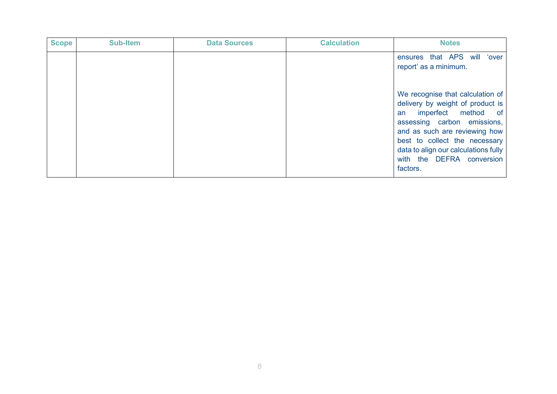| <b>Scope</b> | <b>Sub-Item</b> | <b>Data Sources</b> | <b>Calculation</b> | <b>Notes</b>                                                                                                                                                                                                                                                                        |
|--------------|-----------------|---------------------|--------------------|-------------------------------------------------------------------------------------------------------------------------------------------------------------------------------------------------------------------------------------------------------------------------------------|
|              |                 |                     |                    | ensures that APS<br>will<br>'over<br>report' as a minimum.                                                                                                                                                                                                                          |
|              |                 |                     |                    | We recognise that calculation of<br>delivery by weight of product is<br>imperfect method of<br>an<br>assessing carbon emissions,<br>and as such are reviewing how<br>best to collect the necessary<br>data to align our calculations fully<br>with the DEFRA conversion<br>factors. |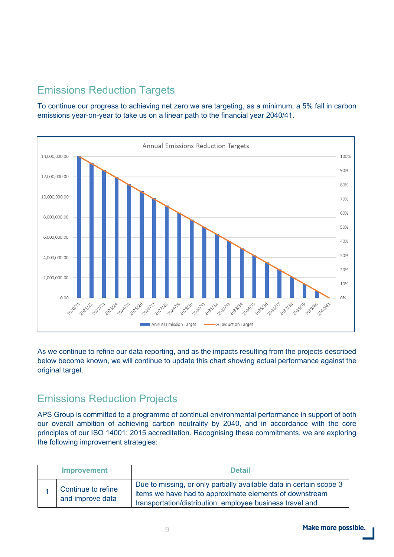#### <span id="page-9-0"></span>Emissions Reduction Targets

To continue our progress to achieving net zero we are targeting, as a minimum, a 5% fall in carbon emissions year-on-year to take us on a linear path to the financial year 2040/41.



As we continue to refine our data reporting, and as the impacts resulting from the projects described below become known, we will continue to update this chart showing actual performance against the original target.

#### <span id="page-9-1"></span>Emissions Reduction Projects

APS Group is committed to a programme of continual environmental performance in support of both our overall ambition of achieving carbon neutrality by 2040, and in accordance with the core principles of our ISO 14001: 2015 accreditation. Recognising these commitments, we are exploring the following improvement strategies:

| <b>Improvement</b>                     | <b>Detail</b>                                                                                                                                                                               |
|----------------------------------------|---------------------------------------------------------------------------------------------------------------------------------------------------------------------------------------------|
| Continue to refine<br>and improve data | Due to missing, or only partially available data in certain scope 3<br>items we have had to approximate elements of downstream<br>transportation/distribution, employee business travel and |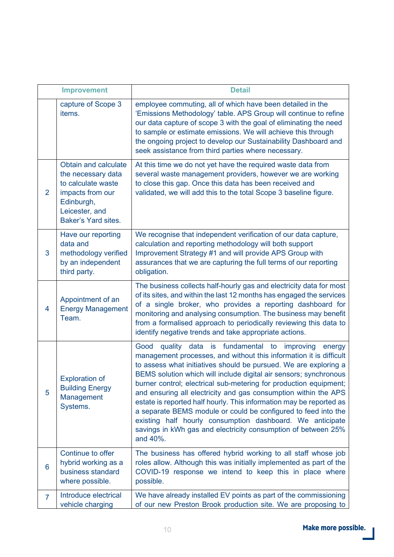|                | <b>Improvement</b>                                                                                                                          | <b>Detail</b>                                                                                                                                                                                                                                                                                                                                                                                                                                                                                                                                                                                                                                                                                                    |
|----------------|---------------------------------------------------------------------------------------------------------------------------------------------|------------------------------------------------------------------------------------------------------------------------------------------------------------------------------------------------------------------------------------------------------------------------------------------------------------------------------------------------------------------------------------------------------------------------------------------------------------------------------------------------------------------------------------------------------------------------------------------------------------------------------------------------------------------------------------------------------------------|
|                | capture of Scope 3<br>items.                                                                                                                | employee commuting, all of which have been detailed in the<br>'Emissions Methodology' table. APS Group will continue to refine<br>our data capture of scope 3 with the goal of eliminating the need<br>to sample or estimate emissions. We will achieve this through<br>the ongoing project to develop our Sustainability Dashboard and<br>seek assistance from third parties where necessary.                                                                                                                                                                                                                                                                                                                   |
| $\overline{2}$ | Obtain and calculate<br>the necessary data<br>to calculate waste<br>impacts from our<br>Edinburgh,<br>Leicester, and<br>Baker's Yard sites. | At this time we do not yet have the required waste data from<br>several waste management providers, however we are working<br>to close this gap. Once this data has been received and<br>validated, we will add this to the total Scope 3 baseline figure.                                                                                                                                                                                                                                                                                                                                                                                                                                                       |
| 3              | Have our reporting<br>data and<br>methodology verified<br>by an independent<br>third party.                                                 | We recognise that independent verification of our data capture,<br>calculation and reporting methodology will both support<br>Improvement Strategy #1 and will provide APS Group with<br>assurances that we are capturing the full terms of our reporting<br>obligation.                                                                                                                                                                                                                                                                                                                                                                                                                                         |
| 4              | Appointment of an<br><b>Energy Management</b><br>Team.                                                                                      | The business collects half-hourly gas and electricity data for most<br>of its sites, and within the last 12 months has engaged the services<br>of a single broker, who provides a reporting dashboard for<br>monitoring and analysing consumption. The business may benefit<br>from a formalised approach to periodically reviewing this data to<br>identify negative trends and take appropriate actions.                                                                                                                                                                                                                                                                                                       |
| 5              | <b>Exploration of</b><br><b>Building Energy</b><br>Management<br>Systems.                                                                   | Good<br>fundamental to<br>quality<br>data<br>improving<br>is<br>energy<br>management processes, and without this information it is difficult<br>to assess what initiatives should be pursued. We are exploring a<br>BEMS solution which will include digital air sensors; synchronous<br>burner control; electrical sub-metering for production equipment;<br>and ensuring all electricity and gas consumption within the APS<br>estate is reported half hourly. This information may be reported as<br>a separate BEMS module or could be configured to feed into the<br>existing half hourly consumption dashboard. We anticipate<br>savings in kWh gas and electricity consumption of between 25%<br>and 40%. |
| 6              | Continue to offer<br>hybrid working as a<br>business standard<br>where possible.                                                            | The business has offered hybrid working to all staff whose job<br>roles allow. Although this was initially implemented as part of the<br>COVID-19 response we intend to keep this in place where<br>possible.                                                                                                                                                                                                                                                                                                                                                                                                                                                                                                    |
| $\overline{7}$ | Introduce electrical<br>vehicle charging                                                                                                    | We have already installed EV points as part of the commissioning<br>of our new Preston Brook production site. We are proposing to                                                                                                                                                                                                                                                                                                                                                                                                                                                                                                                                                                                |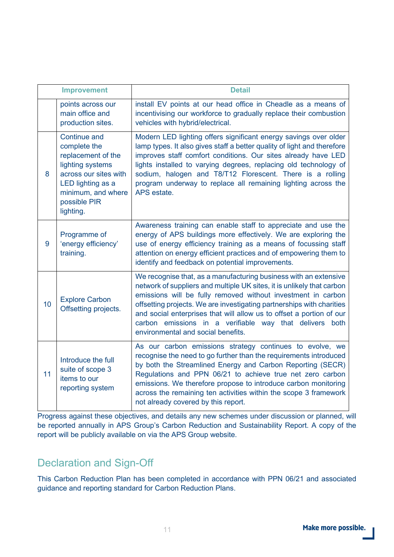|    | <b>Improvement</b>                                                                                                                                                             | <b>Detail</b>                                                                                                                                                                                                                                                                                                                                                                                                                                                |
|----|--------------------------------------------------------------------------------------------------------------------------------------------------------------------------------|--------------------------------------------------------------------------------------------------------------------------------------------------------------------------------------------------------------------------------------------------------------------------------------------------------------------------------------------------------------------------------------------------------------------------------------------------------------|
|    | points across our<br>main office and<br>production sites.                                                                                                                      | install EV points at our head office in Cheadle as a means of<br>incentivising our workforce to gradually replace their combustion<br>vehicles with hybrid/electrical.                                                                                                                                                                                                                                                                                       |
| 8  | <b>Continue and</b><br>complete the<br>replacement of the<br>lighting systems<br>across our sites with<br>LED lighting as a<br>minimum, and where<br>possible PIR<br>lighting. | Modern LED lighting offers significant energy savings over older<br>lamp types. It also gives staff a better quality of light and therefore<br>improves staff comfort conditions. Our sites already have LED<br>lights installed to varying degrees, replacing old technology of<br>sodium, halogen and T8/T12 Florescent. There is a rolling<br>program underway to replace all remaining lighting across the<br>APS estate.                                |
| 9  | Programme of<br>'energy efficiency'<br>training.                                                                                                                               | Awareness training can enable staff to appreciate and use the<br>energy of APS buildings more effectively. We are exploring the<br>use of energy efficiency training as a means of focussing staff<br>attention on energy efficient practices and of empowering them to<br>identify and feedback on potential improvements.                                                                                                                                  |
| 10 | <b>Explore Carbon</b><br>Offsetting projects.                                                                                                                                  | We recognise that, as a manufacturing business with an extensive<br>network of suppliers and multiple UK sites, it is unlikely that carbon<br>emissions will be fully removed without investment in carbon<br>offsetting projects. We are investigating partnerships with charities<br>and social enterprises that will allow us to offset a portion of our<br>carbon emissions in a verifiable way that delivers both<br>environmental and social benefits. |
| 11 | Introduce the full<br>suite of scope 3<br>items to our<br>reporting system                                                                                                     | As our carbon emissions strategy continues to evolve, we<br>recognise the need to go further than the requirements introduced<br>by both the Streamlined Energy and Carbon Reporting (SECR)<br>Regulations and PPN 06/21 to achieve true net zero carbon<br>emissions. We therefore propose to introduce carbon monitoring<br>across the remaining ten activities within the scope 3 framework<br>not already covered by this report.                        |

Progress against these objectives, and details any new schemes under discussion or planned, will be reported annually in APS Group's Carbon Reduction and Sustainability Report. A copy of the report will be publicly available on via the APS Group website.

#### <span id="page-11-0"></span>Declaration and Sign-Off

This Carbon Reduction Plan has been completed in accordance with PPN 06/21 and associated guidance and reporting standard for Carbon Reduction Plans.